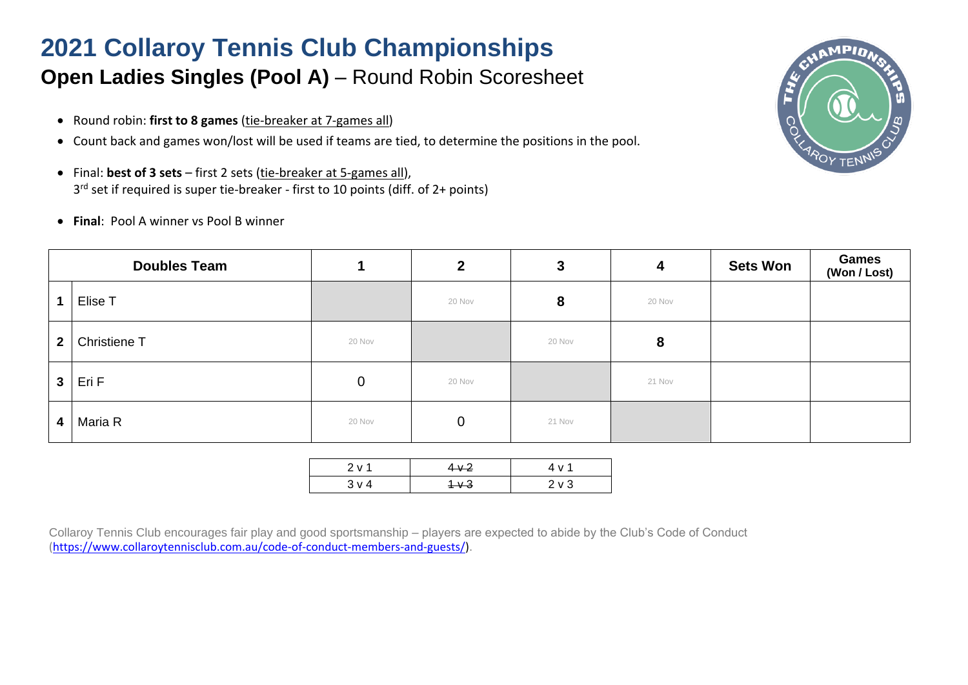## **2021 Collaroy Tennis Club Championships**

## **Open Ladies Singles (Pool A) – Round Robin Scoresheet**

- Round robin: **first to 8 games** (tie-breaker at 7-games all)
- Count back and games won/lost will be used if teams are tied, to determine the positions in the pool.
- Final: **best of 3 sets** first 2 sets (tie-breaker at 5-games all), 3 rd set if required is super tie-breaker - first to 10 points (diff. of 2+ points)
- **Final**: Pool A winner vs Pool B winner

| <b>Doubles Team</b>     |              |        | $\overline{2}$ | 3      | 4      | <b>Sets Won</b> | <b>Games</b><br>(Won / Lost) |
|-------------------------|--------------|--------|----------------|--------|--------|-----------------|------------------------------|
| 1                       | Elise T      |        | 20 Nov         | 8      | 20 Nov |                 |                              |
| $\overline{2}$          | Christiene T | 20 Nov |                | 20 Nov | 8      |                 |                              |
| 3 <sup>1</sup>          | Eri F        | 0      | 20 Nov         |        | 21 Nov |                 |                              |
| $\overline{\mathbf{4}}$ | Maria R      | 20 Nov | $\mathbf 0$    | 21 Nov |        |                 |                              |

| 2 v 1 | $4 \times 2$ | 4 V <sup>-</sup> |
|-------|--------------|------------------|
| 3 v 4 | $4 \times 3$ | $2 \vee 3$       |
|       |              |                  |

Collaroy Tennis Club encourages fair play and good sportsmanship – players are expected to abide by the Club's Code of Conduct [\(https://www.collaroytennisclub.com.au/code-of-conduct-members-and-guests/\)](https://www.collaroytennisclub.com.au/code-of-conduct-members-and-guests/).